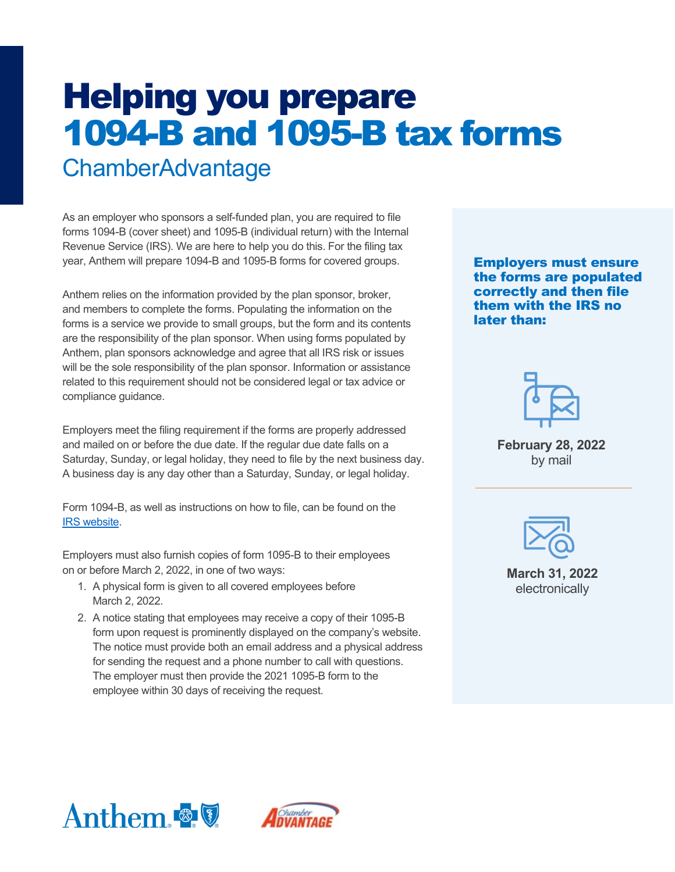# Helping you prepare 1094-B and 1095-B tax forms ChamberAdvantage

As an employer who sponsors a self-funded plan, you are required to file forms 1094-B (cover sheet) and 1095-B (individual return) with the Internal Revenue Service (IRS). We are here to help you do this. For the filing tax year, Anthem will prepare 1094-B and 1095-B forms for covered groups.

Anthem relies on the information provided by the plan sponsor, broker, and members to complete the forms. Populating the information on the forms is a service we provide to small groups, but the form and its contents are the responsibility of the plan sponsor. When using forms populated by Anthem, plan sponsors acknowledge and agree that all IRS risk or issues will be the sole responsibility of the plan sponsor. Information or assistance related to this requirement should not be considered legal or tax advice or compliance guidance.

Employers meet the filing requirement if the forms are properly addressed and mailed on or before the due date. If the regular due date falls on a Saturday, Sunday, or legal holiday, they need to file by the next business day. A business day is any day other than a Saturday, Sunday, or legal holiday.

Form 1094-B, as well as instructions on how to file, can be found on the [IRS website.](https://www.irs.gov/pub/irs-pdf/i109495b.pdf)

Employers must also furnish copies of form 1095-B to their employees on or before March 2, 2022, in one of two ways:

- 1. A physical form is given to all covered employees before March 2, 2022.
- 2. A notice stating that employees may receive a copy of their 1095-B form upon request is prominently displayed on the company's website. The notice must provide both an email address and a physical address for sending the request and a phone number to call with questions. The employer must then provide the 2021 1095-B form to the employee within 30 days of receiving the request.

Employers must ensure the forms are populated correctly and then file them with the IRS no later than:



**February 28, 2022** by mail



**March 31, 2022**  electronically